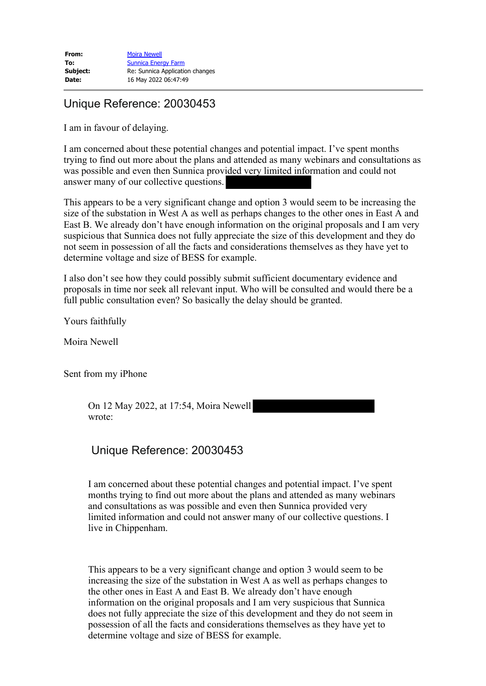## Unique Reference: 20030453

I am in favour of delaying.

I am concerned about these potential changes and potential impact. I've spent months trying to find out more about the plans and attended as many webinars and consultations as was possible and even then Sunnica provided very limited information and could not answer many of our collective questions.

This appears to be a very significant change and option 3 would seem to be increasing the size of the substation in West A as well as perhaps changes to the other ones in East A and East B. We already don't have enough information on the original proposals and I am very suspicious that Sunnica does not fully appreciate the size of this development and they do not seem in possession of all the facts and considerations themselves as they have yet to determine voltage and size of BESS for example.

I also don't see how they could possibly submit sufficient documentary evidence and proposals in time nor seek all relevant input. Who will be consulted and would there be a full public consultation even? So basically the delay should be granted.

Yours faithfully

Moira Newell

Sent from my iPhone

On 12 May 2022, at 17:54, Moira Newell wrote:

## Unique Reference: 20030453

I am concerned about these potential changes and potential impact. I've spent months trying to find out more about the plans and attended as many webinars and consultations as was possible and even then Sunnica provided very limited information and could not answer many of our collective questions. I live in Chippenham.

This appears to be a very significant change and option 3 would seem to be increasing the size of the substation in West A as well as perhaps changes to the other ones in East A and East B. We already don't have enough information on the original proposals and I am very suspicious that Sunnica does not fully appreciate the size of this development and they do not seem in possession of all the facts and considerations themselves as they have yet to determine voltage and size of BESS for example.